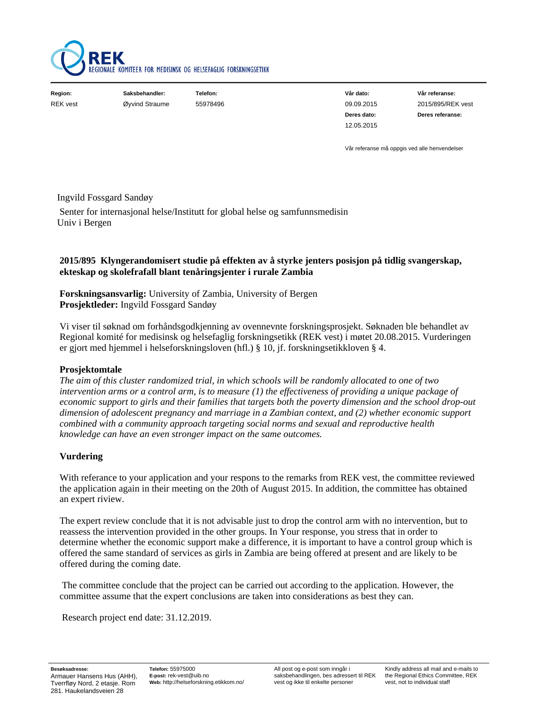

| Region:         | Saksbehandler: | Telefon: | Vår dato:   | Vår referanse:    |
|-----------------|----------------|----------|-------------|-------------------|
| <b>REK</b> vest | Øyvind Straume | 55978496 | 09.09.2015  | 2015/895/REK vest |
|                 |                |          | Deres dato: | Deres referanse:  |
|                 |                |          | 12.05.2015  |                   |

Vår referanse må oppgis ved alle henvendelser

#### Ingvild Fossgard Sandøy

 Senter for internasjonal helse/Institutt for global helse og samfunnsmedisin Univ i Bergen

## **2015/895 Klyngerandomisert studie på effekten av å styrke jenters posisjon på tidlig svangerskap, ekteskap og skolefrafall blant tenåringsjenter i rurale Zambia**

**Forskningsansvarlig:** University of Zambia, University of Bergen **Prosjektleder:** Ingvild Fossgard Sandøy

Vi viser til søknad om forhåndsgodkjenning av ovennevnte forskningsprosjekt. Søknaden ble behandlet av Regional komité for medisinsk og helsefaglig forskningsetikk (REK vest) i møtet 20.08.2015. Vurderingen er gjort med hjemmel i helseforskningsloven (hfl.) § 10, jf. forskningsetikkloven § 4.

#### **Prosjektomtale**

*The aim of this cluster randomized trial, in which schools will be randomly allocated to one of two intervention arms or a control arm, is to measure (1) the effectiveness of providing a unique package of economic support to girls and their families that targets both the poverty dimension and the school drop-out dimension of adolescent pregnancy and marriage in a Zambian context, and (2) whether economic support combined with a community approach targeting social norms and sexual and reproductive health knowledge can have an even stronger impact on the same outcomes.*

#### **Vurdering**

With referance to your application and your respons to the remarks from REK vest, the committee reviewed the application again in their meeting on the 20th of August 2015. In addition, the committee has obtained an expert riview.

The expert review conclude that it is not advisable just to drop the control arm with no intervention, but to reassess the intervention provided in the other groups. In Your response, you stress that in order to determine whether the economic support make a difference, it is important to have a control group which is offered the same standard of services as girls in Zambia are being offered at present and are likely to be offered during the coming date.

 The committee conclude that the project can be carried out according to the application. However, the committee assume that the expert conclusions are taken into considerations as best they can.

Research project end date: 31.12.2019.